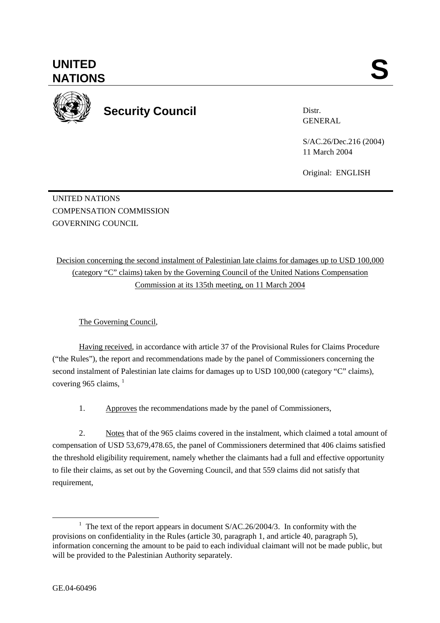Distr. GENERAL

S/AC.26/Dec.216 (2004) 11 March 2004

Original: ENGLISH

UNITED NATIONS COMPENSATION COMMISSION GOVERNING COUNCIL

Decision concerning the second instalment of Palestinian late claims for damages up to USD 100,000 (category "C" claims) taken by the Governing Council of the United Nations Compensation Commission at its 135th meeting, on 11 March 2004

The Governing Council,

Having received, in accordance with article 37 of the Provisional Rules for Claims Procedure ("the Rules"), the report and recommendations made by the panel of Commissioners concerning the second instalment of Palestinian late claims for damages up to USD 100,000 (category "C" claims), covering 965 claims,  $<sup>1</sup>$ </sup>

1. Approves the recommendations made by the panel of Commissioners,

 2. Notes that of the 965 claims covered in the instalment, which claimed a total amount of compensation of USD 53,679,478.65, the panel of Commissioners determined that 406 claims satisfied the threshold eligibility requirement, namely whether the claimants had a full and effective opportunity to file their claims, as set out by the Governing Council, and that 559 claims did not satisfy that requirement,



<sup>&</sup>lt;u>1</u> <sup>1</sup> The text of the report appears in document  $S/AC.26/2004/3$ . In conformity with the provisions on confidentiality in the Rules (article 30, paragraph 1, and article 40, paragraph 5), information concerning the amount to be paid to each individual claimant will not be made public, but will be provided to the Palestinian Authority separately.